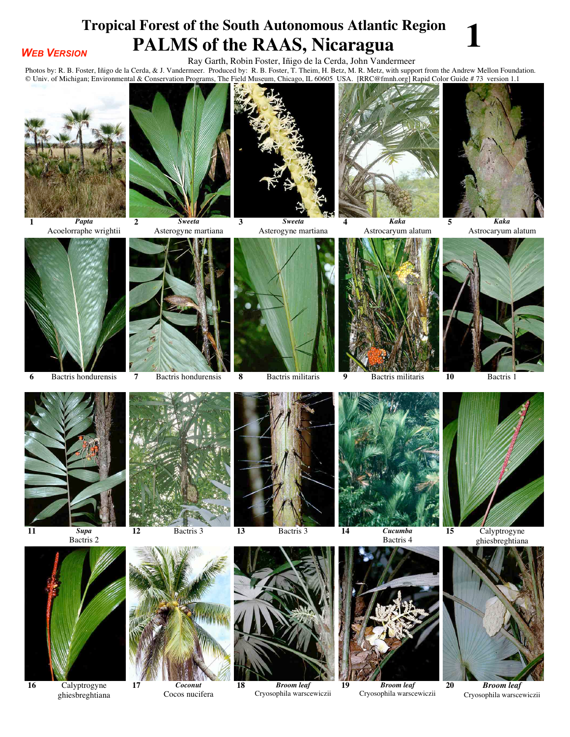## **Tropical Forest of the South Autonomous Atlantic Region<br>
PALMS of the RAAS, Nicaragua**

## *WEB VERSION*

Ray Garth, Robin Foster, Iñigo de la Cerda, John Vandermeer

**PALM COLUMBER OF THE RATION COLUMBER OF THE RATION COLUMBER OF THE RATION OF THE RATION COLUMBER OF THE RATION COLUMBER OF THE RATION COLUMBER PRODUCED PRODUCED PRODUCED PRODUCED PRODUCED PRODUCED PRODUCED PRODUCED PRODUC** © Univ. of Michigan; Environmental & Conservation Programs, The Field Museum, Chicago, IL 60605 USA. [RRC@fmnh.org] Rapid Color Guide # 73version 1.1



*Papta* Acoelorraphe wrightii





*Sweeta* Asterogyne martiana









*Kaka* Astrocaryum alatum



*Kaka* Astrocaryum alatum













*Broom leaf* Cryosophila warscewiczii



Bactris 4



*Broom leaf* Cryosophila warscewiczii



 Calyptrogyne ghiesbreghtiana



*Broom leaf* Cryosophila warscewiczii



 Calyptrogyne ghiesbreghtiana



*Coconut* Cocos nucifera



*Sweeta* Asterogyne martiana